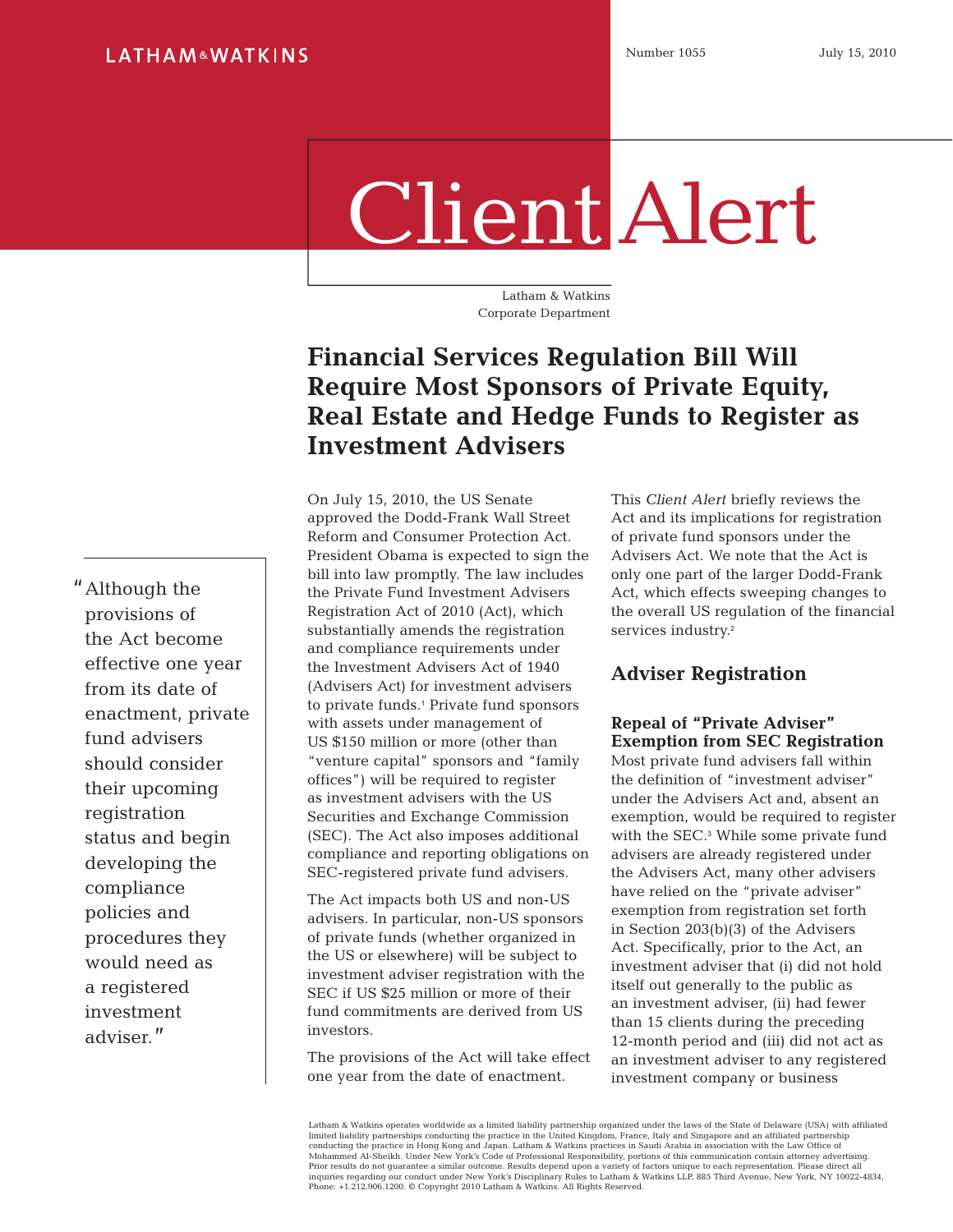# Client Alert

Latham & Watkins Corporate Department

# **Financial Services Regulation Bill Will Require Most Sponsors of Private Equity, Real Estate and Hedge Funds to Register as Investment Advisers**

On July 15, 2010, the US Senate approved the Dodd-Frank Wall Street Reform and Consumer Protection Act. President Obama is expected to sign the bill into law promptly. The law includes the Private Fund Investment Advisers Registration Act of 2010 (Act), which substantially amends the registration and compliance requirements under the Investment Advisers Act of 1940 (Advisers Act) for investment advisers to private funds.1 Private fund sponsors with assets under management of US \$150 million or more (other than "venture capital" sponsors and "family offices") will be required to register as investment advisers with the US Securities and Exchange Commission (SEC). The Act also imposes additional compliance and reporting obligations on SEC-registered private fund advisers.

The Act impacts both US and non-US advisers. In particular, non-US sponsors of private funds (whether organized in the US or elsewhere) will be subject to investment adviser registration with the SEC if US \$25 million or more of their fund commitments are derived from US investors.

The provisions of the Act will take effect one year from the date of enactment.

This *Client Alert* briefly reviews the Act and its implications for registration of private fund sponsors under the Advisers Act. We note that the Act is only one part of the larger Dodd-Frank Act, which effects sweeping changes to the overall US regulation of the financial services industry.<sup>2</sup>

# **Adviser Registration**

**Repeal of "Private Adviser" Exemption from SEC Registration** 

Most private fund advisers fall within the definition of "investment adviser" under the Advisers Act and, absent an exemption, would be required to register with the SEC.3 While some private fund advisers are already registered under the Advisers Act, many other advisers have relied on the "private adviser" exemption from registration set forth in Section 203(b)(3) of the Advisers Act. Specifically, prior to the Act, an investment adviser that (i) did not hold itself out generally to the public as an investment adviser, (ii) had fewer than 15 clients during the preceding 12-month period and (iii) did not act as an investment adviser to any registered investment company or business

Latham & Watkins operates worldwide as a limited liability partnership organized under the laws of the State of Delaware (USA) with affiliated limited liability partnerships conducting the practice in the United Kingdom, France, Italy and Singapore and an affiliated partnership<br>conducting the practice in Hong Kong and Japan. Latham & Watkins practices in Saudi Ar inquiries regarding our conduct under New York's Disciplinary Rules to Latham & Watkins LLP, 885 Third Avenue, New York, NY 10022-4834, Phone: +1.212.906.1200. © Copyright 2010 Latham & Watkins. All Rights Reserved.

"Although the provisions of the Act become effective one year from its date of enactment, private fund advisers should consider their upcoming registration status and begin developing the compliance policies and procedures they would need as a registered investment adviser."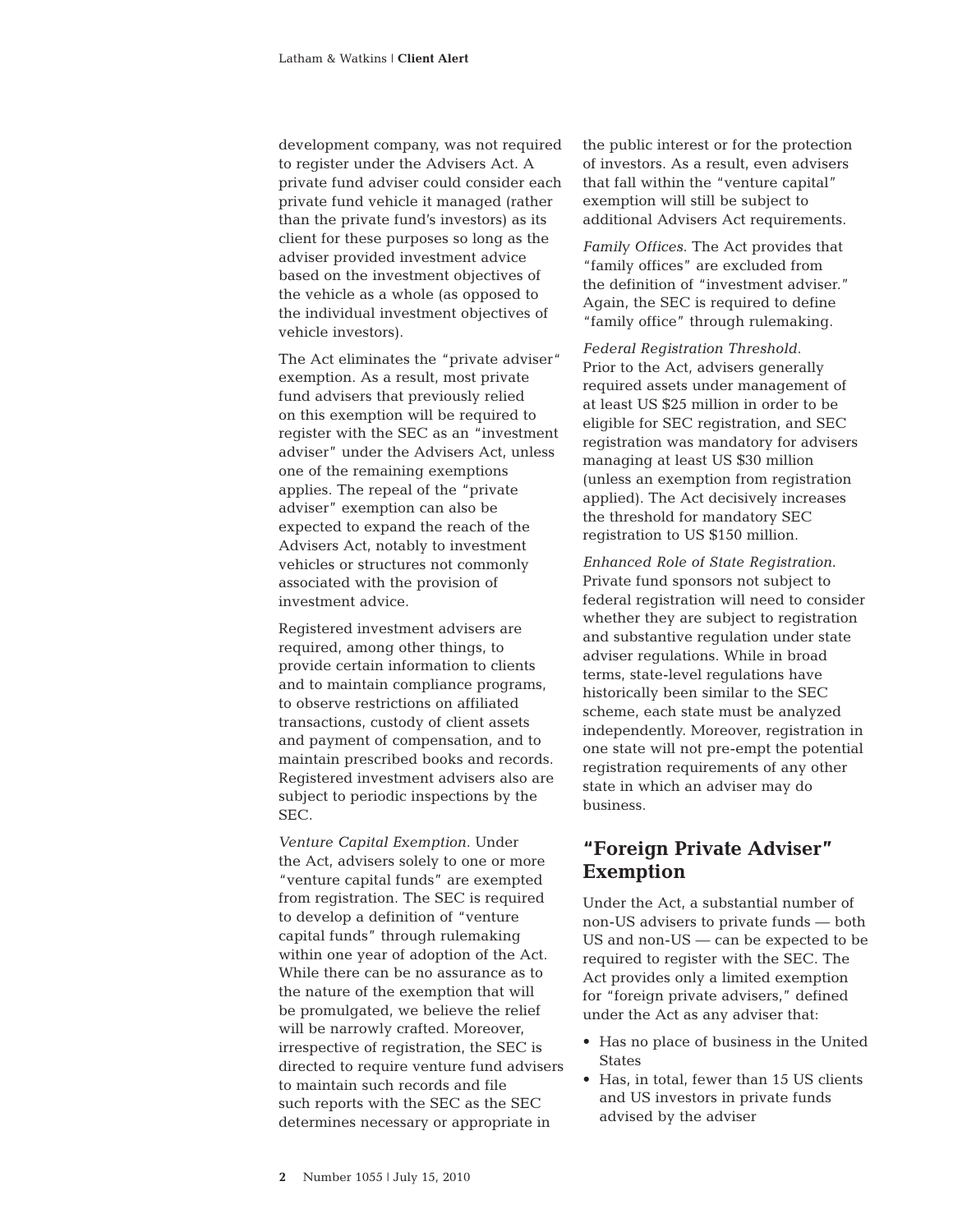development company, was not required to register under the Advisers Act. A private fund adviser could consider each private fund vehicle it managed (rather than the private fund's investors) as its client for these purposes so long as the adviser provided investment advice based on the investment objectives of the vehicle as a whole (as opposed to the individual investment objectives of vehicle investors).

The Act eliminates the "private adviser" exemption. As a result, most private fund advisers that previously relied on this exemption will be required to register with the SEC as an "investment adviser" under the Advisers Act, unless one of the remaining exemptions applies. The repeal of the "private adviser" exemption can also be expected to expand the reach of the Advisers Act, notably to investment vehicles or structures not commonly associated with the provision of investment advice.

Registered investment advisers are required, among other things, to provide certain information to clients and to maintain compliance programs, to observe restrictions on affiliated transactions, custody of client assets and payment of compensation, and to maintain prescribed books and records. Registered investment advisers also are subject to periodic inspections by the SEC.

*Venture Capital Exemption*. Under the Act, advisers solely to one or more "venture capital funds" are exempted from registration. The SEC is required to develop a definition of "venture capital funds" through rulemaking within one year of adoption of the Act. While there can be no assurance as to the nature of the exemption that will be promulgated, we believe the relief will be narrowly crafted. Moreover, irrespective of registration, the SEC is directed to require venture fund advisers to maintain such records and file such reports with the SEC as the SEC determines necessary or appropriate in

the public interest or for the protection of investors. As a result, even advisers that fall within the "venture capital" exemption will still be subject to additional Advisers Act requirements.

*Family Offices*. The Act provides that "family offices" are excluded from the definition of "investment adviser." Again, the SEC is required to define "family office" through rulemaking.

*Federal Registration Threshold*. Prior to the Act, advisers generally required assets under management of at least US \$25 million in order to be eligible for SEC registration, and SEC registration was mandatory for advisers managing at least US \$30 million (unless an exemption from registration applied). The Act decisively increases the threshold for mandatory SEC registration to US \$150 million.

*Enhanced Role of State Registration.* Private fund sponsors not subject to federal registration will need to consider whether they are subject to registration and substantive regulation under state adviser regulations. While in broad terms, state-level regulations have historically been similar to the SEC scheme, each state must be analyzed independently. Moreover, registration in one state will not pre-empt the potential registration requirements of any other state in which an adviser may do business.

# **"Foreign Private Adviser" Exemption**

Under the Act, a substantial number of non-US advisers to private funds — both US and non-US — can be expected to be required to register with the SEC. The Act provides only a limited exemption for "foreign private advisers," defined under the Act as any adviser that:

- Has no place of business in the United States
- Has, in total, fewer than 15 US clients and US investors in private funds advised by the adviser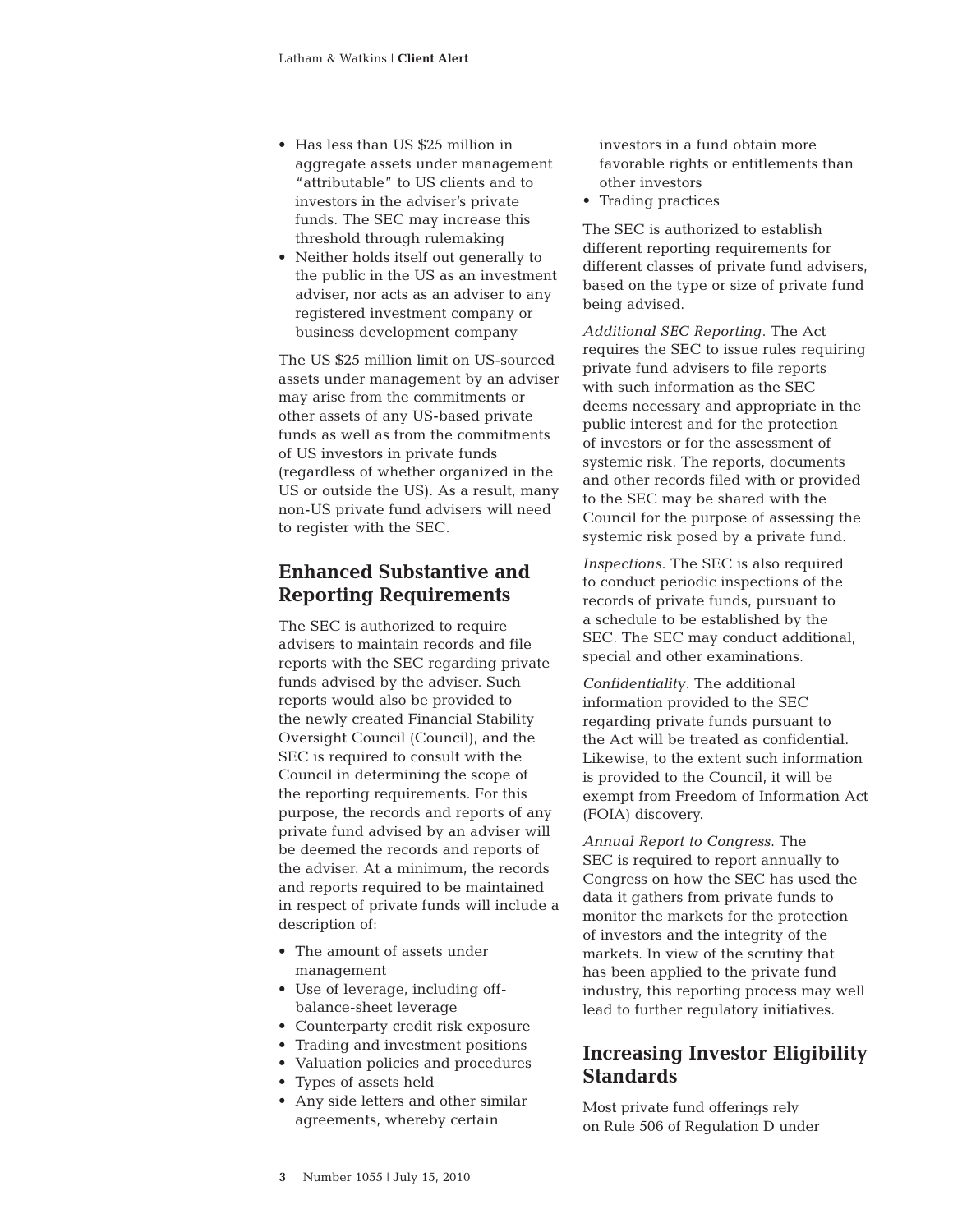- Has less than US \$25 million in aggregate assets under management "attributable" to US clients and to investors in the adviser's private funds. The SEC may increase this threshold through rulemaking
- Neither holds itself out generally to the public in the US as an investment adviser, nor acts as an adviser to any registered investment company or business development company

The US \$25 million limit on US-sourced assets under management by an adviser may arise from the commitments or other assets of any US-based private funds as well as from the commitments of US investors in private funds (regardless of whether organized in the US or outside the US). As a result, many non-US private fund advisers will need to register with the SEC.

# **Enhanced Substantive and Reporting Requirements**

The SEC is authorized to require advisers to maintain records and file reports with the SEC regarding private funds advised by the adviser. Such reports would also be provided to the newly created Financial Stability Oversight Council (Council), and the SEC is required to consult with the Council in determining the scope of the reporting requirements. For this purpose, the records and reports of any private fund advised by an adviser will be deemed the records and reports of the adviser. At a minimum, the records and reports required to be maintained in respect of private funds will include a description of:

- The amount of assets under management
- Use of leverage, including offbalance-sheet leverage
- Counterparty credit risk exposure
- Trading and investment positions
- Valuation policies and procedures
- Types of assets held
- Any side letters and other similar agreements, whereby certain

investors in a fund obtain more favorable rights or entitlements than other investors

• Trading practices

The SEC is authorized to establish different reporting requirements for different classes of private fund advisers, based on the type or size of private fund being advised.

*Additional SEC Reporting*. The Act requires the SEC to issue rules requiring private fund advisers to file reports with such information as the SEC deems necessary and appropriate in the public interest and for the protection of investors or for the assessment of systemic risk. The reports, documents and other records filed with or provided to the SEC may be shared with the Council for the purpose of assessing the systemic risk posed by a private fund.

*Inspections*. The SEC is also required to conduct periodic inspections of the records of private funds, pursuant to a schedule to be established by the SEC. The SEC may conduct additional, special and other examinations.

*Confidentiality*. The additional information provided to the SEC regarding private funds pursuant to the Act will be treated as confidential. Likewise, to the extent such information is provided to the Council, it will be exempt from Freedom of Information Act (FOIA) discovery.

*Annual Report to Congress*. The SEC is required to report annually to Congress on how the SEC has used the data it gathers from private funds to monitor the markets for the protection of investors and the integrity of the markets. In view of the scrutiny that has been applied to the private fund industry, this reporting process may well lead to further regulatory initiatives.

# **Increasing Investor Eligibility Standards**

Most private fund offerings rely on Rule 506 of Regulation D under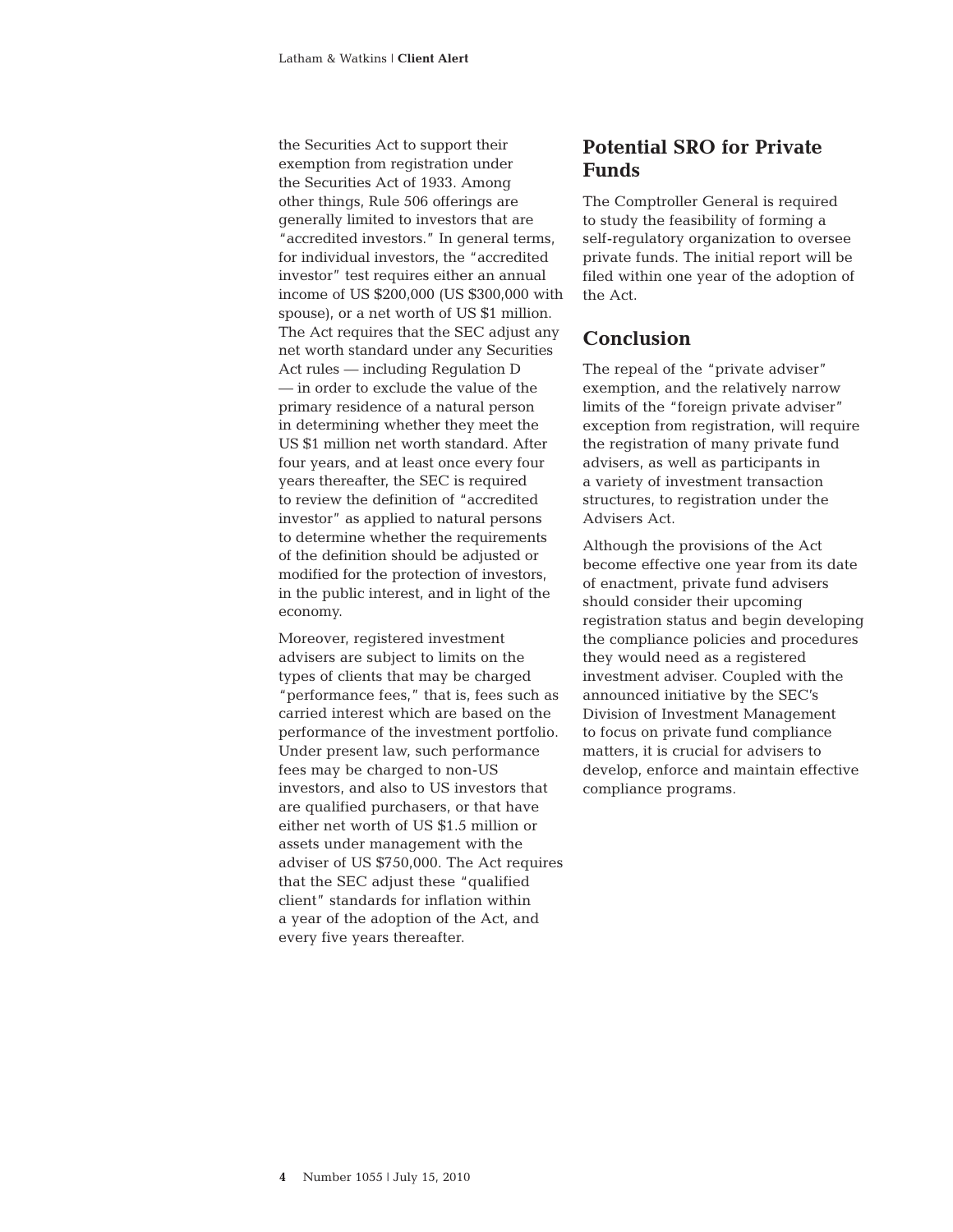the Securities Act to support their exemption from registration under the Securities Act of 1933. Among other things, Rule 506 offerings are generally limited to investors that are "accredited investors." In general terms, for individual investors, the "accredited investor" test requires either an annual income of US \$200,000 (US \$300,000 with spouse), or a net worth of US \$1 million. The Act requires that the SEC adjust any net worth standard under any Securities Act rules — including Regulation D — in order to exclude the value of the primary residence of a natural person in determining whether they meet the US \$1 million net worth standard. After four years, and at least once every four years thereafter, the SEC is required to review the definition of "accredited investor" as applied to natural persons to determine whether the requirements of the definition should be adjusted or modified for the protection of investors, in the public interest, and in light of the economy.

Moreover, registered investment advisers are subject to limits on the types of clients that may be charged "performance fees," that is, fees such as carried interest which are based on the performance of the investment portfolio. Under present law, such performance fees may be charged to non-US investors, and also to US investors that are qualified purchasers, or that have either net worth of US \$1.5 million or assets under management with the adviser of US \$750,000. The Act requires that the SEC adjust these "qualified client" standards for inflation within a year of the adoption of the Act, and every five years thereafter.

# **Potential SRO for Private Funds**

The Comptroller General is required to study the feasibility of forming a self-regulatory organization to oversee private funds. The initial report will be filed within one year of the adoption of the Act.

# **Conclusion**

The repeal of the "private adviser" exemption, and the relatively narrow limits of the "foreign private adviser" exception from registration, will require the registration of many private fund advisers, as well as participants in a variety of investment transaction structures, to registration under the Advisers Act.

Although the provisions of the Act become effective one year from its date of enactment, private fund advisers should consider their upcoming registration status and begin developing the compliance policies and procedures they would need as a registered investment adviser. Coupled with the announced initiative by the SEC's Division of Investment Management to focus on private fund compliance matters, it is crucial for advisers to develop, enforce and maintain effective compliance programs.